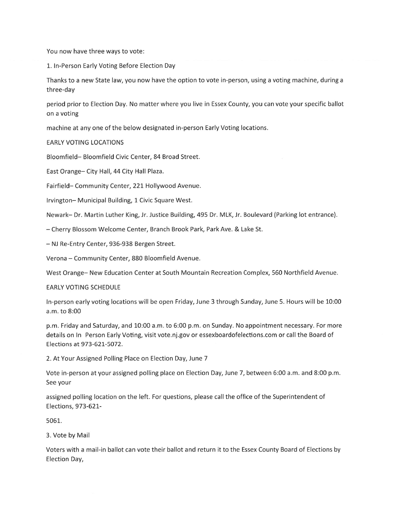You now have three ways to vote:

1. In-Person Early Voting Before Election Day

Thanks to a new State law, you now have the option to vote in-person, using a voting machine, during a three-day

period prior to Election Day. No matter where you live in Essex County, you can vote your specific ballot on a voting

machine at any one of the below designated in-person Early Voting locations.

**EARLY VOTING LOCATIONS** 

Bloomfield-Bloomfield Civic Center, 84 Broad Street.

East Orange- City Hall, 44 City Hall Plaza.

Fairfield-Community Center, 221 Hollywood Avenue.

Irvington-Municipal Building, 1 Civic Square West.

Newark-Dr. Martin Luther King, Jr. Justice Building, 495 Dr. MLK, Jr. Boulevard (Parking lot entrance).

- Cherry Blossom Welcome Center, Branch Brook Park, Park Ave. & Lake St.

- NJ Re-Entry Center, 936-938 Bergen Street.

Verona - Community Center, 880 Bloomfield Avenue.

West Orange-New Education Center at South Mountain Recreation Complex, 560 Northfield Avenue.

**EARLY VOTING SCHEDULE** 

In-person early voting locations will be open Friday, June 3 through Sunday, June 5. Hours will be 10:00 a.m. to 8:00

p.m. Friday and Saturday, and 10:00 a.m. to 6:00 p.m. on Sunday. No appointment necessary. For more details on In Person Early Voting, visit vote.nj.gov or essexboardofelections.com or call the Board of Elections at 973-621-5072.

2. At Your Assigned Polling Place on Election Day, June 7

Vote in-person at your assigned polling place on Election Day, June 7, between 6:00 a.m. and 8:00 p.m. See your

assigned polling location on the left. For questions, please call the office of the Superintendent of Elections, 973-621-

5061.

3. Vote by Mail

Voters with a mail-in ballot can vote their ballot and return it to the Essex County Board of Elections by Election Day,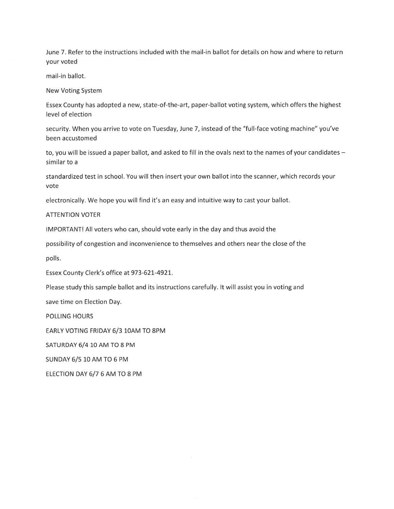June 7. Refer to the instructions included with the mail-in ballot for details on how and where to return vour voted

mail-in ballot.

**New Voting System** 

Essex County has adopted a new, state-of-the-art, paper-ballot voting system, which offers the highest level of election

security. When you arrive to vote on Tuesday, June 7, instead of the "full-face voting machine" you've been accustomed

to, you will be issued a paper ballot, and asked to fill in the ovals next to the names of your candidates similar to a

standardized test in school. You will then insert your own ballot into the scanner, which records your vote

electronically. We hope you will find it's an easy and intuitive way to cast your ballot.

**ATTENTION VOTER** 

IMPORTANT! All voters who can, should vote early in the day and thus avoid the

possibility of congestion and inconvenience to themselves and others near the close of the

polls.

Essex County Clerk's office at 973-621-4921.

Please study this sample ballot and its instructions carefully. It will assist you in voting and

save time on Election Day.

**POLLING HOURS** 

EARLY VOTING FRIDAY 6/3 10AM TO 8PM

SATURDAY 6/4 10 AM TO 8 PM

SUNDAY 6/5 10 AM TO 6 PM

ELECTION DAY 6/7 6 AM TO 8 PM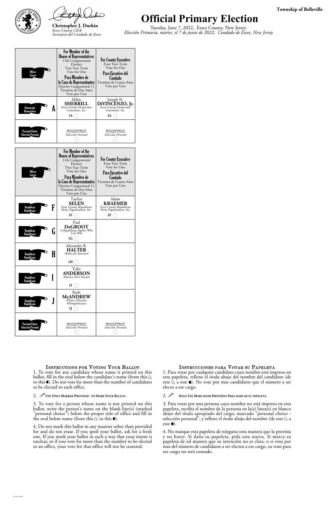



## **Official Primary Election**

Tuesday, June 7, 2022, Essex County, New Jersey *Elección Primaria, martes, el 7 de junio de 2022, Condado de Essex, New Jersey*

### **Township of Belleville**

ballot, fill in the oval below the candidate's name (from this 0, to this  $\bullet$ ). Do not vote for more than the number of candidates to be elected to each office.

### 2. *U* USE ONLY MARKER PROVIDED TO MARK YOUR BALLOT.

3. To vote for a person whose name is not printed on this ballot, write the person's name on the blank line(s) (marked "personal choice") below the proper title of office and fill in the oval below name (from this  $\circ$ ), to this  $\bullet$ ).

3. Para votar por una persona cuyo nombre no está impreso en esta papeleta, escriba el nombre de la persona en la(s) linea(s) en blanco abajo del título apropiado del cargo, marcado "personal choice selección personal", y rellene el óvalo abajo del nombre (de este 0, a este  $\bullet$ ).

4. Do not mark this ballot in any manner other than provided for and do not erase. If you spoil your ballot, ask for a fresh one. If you mark your ballot in such a way that your intent is unclear, or if you vote for more than the number to be elected to an office, your vote for that office will not be counted.

esta papeleta, rellene el óvalo abajo del nombre del candidato (de este  $\ddot{o}$ , a este  $\bullet$ ). No vote por mas candidatos que el número a ser electo a ese cargo.

### 2. **SOLO USE MARCADOR PROVEÍDO PARA MARCAR SU PAPELETA.**

| <b>Offices</b><br>Cargos                     | For Member of the<br><b>House of Representatives</b><br>11th Congressional<br>District<br>Two Year Term<br>Vote for One<br>Para Miembro de<br>la Casa de Representantes<br>Distrito Congresional 11<br>Término de Dos Años<br>Vote por Uno | <b>For County Executive</b><br>Four Year Term<br>Vote for One<br>Para Ejecutivo del<br>Condado<br>Término de Cuatro Años<br>Vote por Uno |
|----------------------------------------------|--------------------------------------------------------------------------------------------------------------------------------------------------------------------------------------------------------------------------------------------|------------------------------------------------------------------------------------------------------------------------------------------|
| Democratic<br>A<br>Democrático               | Mikie<br><b>SHERRILL</b><br>Essex County Democratic<br>Committee, Inc.<br>1A                                                                                                                                                               | Joseph N.<br>DiVINCENZO, Jr.<br>Essex County Democratic<br>Committee, Inc.<br>2A                                                         |
| <b>Personal Choice</b><br>Selección Personal | Personal Choice<br>Selección Personal                                                                                                                                                                                                      | Personal Choice<br>Selección Personal                                                                                                    |
| <b>Offices</b><br>Cargos                     | For Member of the<br><b>House of Representatives</b><br>11th Congressional<br>District<br>Two Year Term<br>Vote for One<br>Para Miembro de<br>la Casa de Representantes<br>Distrito Congresional 11<br>Término de Dos Años<br>Vote por Uno | <b>For County Executive</b><br>Four Year Term<br>Vote for One<br>Para Ejecutivo del<br>Condado<br>Término de Cuatro Años<br>Vote por Uno |
| F<br>Republican<br>Republicano               | Tayfun<br>SELEN<br>Essex County Republican<br>Party Organization, Inc.<br>1F                                                                                                                                                               | Adam<br><b>KRAEMER</b><br>Essex County Republican<br>Party Organization, Inc.<br>2F                                                      |
| Republican<br>lı<br><u>Republicano</u>       | Paul<br><b>DeGROOT</b><br>A Republican Fighter Who<br>Can Win<br>1G                                                                                                                                                                        |                                                                                                                                          |
| H<br>Republican<br>Republicano               | Alexander R.<br><b>HALTER</b><br>Halter for America!<br>1H                                                                                                                                                                                 |                                                                                                                                          |
| Republican<br>Republicano                    | Toby<br><b>ANDERSON</b><br>America First Veteran<br>11                                                                                                                                                                                     |                                                                                                                                          |
| <b>Republican</b><br>Republicano             | Ruth<br><b>McANDREW</b><br>#Nurse #Farmer<br>#Notapolitician<br>IJ                                                                                                                                                                         |                                                                                                                                          |
| <b>Personal Choice</b><br>Selección Personal | Personal Choice<br>Selección Personal                                                                                                                                                                                                      | Personal Choice<br>Selección Personal                                                                                                    |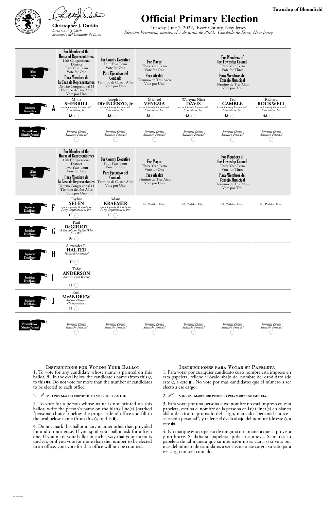



## **Official Primary Election**

Tuesday, June 7, 2022, Essex County, New Jersey *Elección Primaria, martes, el 7 de junio de 2022, Condado de Essex, New Jersey*

### **Township of Bloomfield**

ballot, fill in the oval below the candidate's name (from this 0, to this  $\bullet$ ). Do not vote for more than the number of candidates to be elected to each office.

### 2. *U* USE ONLY MARKER PROVIDED TO MARK YOUR BALLOT.

3. To vote for a person whose name is not printed on this ballot, write the person's name on the blank line(s) (marked "personal choice") below the proper title of office and fill in the oval below name (from this  $\circ$ ), to this  $\bullet$ ).

3. Para votar por una persona cuyo nombre no está impreso en esta papeleta, escriba el nombre de la persona en la(s) linea(s) en blanco abajo del título apropiado del cargo, marcado "personal choice selección personal", y rellene el óvalo abajo del nombre (de este 0, a este  $\bullet$ ).

4. Do not mark this ballot in any manner other than provided for and do not erase. If you spoil your ballot, ask for a fresh one. If you mark your ballot in such a way that your intent is unclear, or if you vote for more than the number to be elected to an office, your vote for that office will not be counted.

esta papeleta, rellene el óvalo abajo del nombre del candidato (de este  $\ddot{o}$ , a este  $\bullet$ ). No vote por mas candidatos que el número a ser electo a ese cargo.

### 2. **SOLO USE MARCADOR PROVEÍDO PARA MARCAR SU PAPELETA.**

| <b>Offices</b>                               | For Member of the<br><b>House of Representatives</b><br>11th Congressional<br>District<br>Two Year Term<br>Vote for One<br>Para Miembro de<br>la Casa de Representantes<br>Distrito Congresional 11<br>Término de Dos Años<br>Vote por Uno | <b>For County Executive</b><br>Four Year Term<br>Vote for One<br>Para Ejecutivo del<br>Condado<br>Término de Cuatro Años<br>Vote por Uno | <b>For Mayor</b><br>Three Year Term<br>Vote for One<br>Para Alcalde<br>Término de Tres Años<br>Vote por Uno |                                                                                        | <b>For Members of</b><br>the Township Council<br>Three Year Term<br>Vote for Three<br>Para Miembros del<br><b>Consejo Municipal</b><br>Término de Tres Años<br>Vote por Tres |                                                                                |
|----------------------------------------------|--------------------------------------------------------------------------------------------------------------------------------------------------------------------------------------------------------------------------------------------|------------------------------------------------------------------------------------------------------------------------------------------|-------------------------------------------------------------------------------------------------------------|----------------------------------------------------------------------------------------|------------------------------------------------------------------------------------------------------------------------------------------------------------------------------|--------------------------------------------------------------------------------|
| A<br>Democratic<br>Democrático               | Mikie<br><b>SHERRILL</b><br>Essex County Democratic<br>Committee, Inc.<br>$1A$ $\bigcap$                                                                                                                                                   | Joseph N.<br>DiVINCENZO, Jr.<br>Committee, Inc.<br>2A                                                                                    | Michael<br><b>VENEZIA</b><br>Essex County Democratic<br>Committee, Inc.<br>$3A$ (                           | Wartyna Nina<br><b>DAVIS</b><br>Essex County Democratic<br>Committee, Inc.<br>$4A$ $($ | Ted<br><b>GAMBLE</b><br>Essex County Democratic<br>Committee, Inc.<br>5A $($                                                                                                 | Richard<br><b>ROCKWELL</b><br>Essex County Democratic<br>Committee, Inc.<br>6A |
| <b>Personal Choice</b><br>Selección Personal | Personal Choice<br>Selección Personal                                                                                                                                                                                                      | Personal Choice<br>Selección Personal                                                                                                    | Personal Choice<br>Selección Personal                                                                       | Personal Choice<br>Selección Personal                                                  | Personal Choice<br>Selección Personal                                                                                                                                        | Personal Choice<br>Selección Personal                                          |
| <b>Offices</b>                               | For Member of the<br><b>House of Representatives</b><br>11th Congressional<br>District<br>Two Year Term<br>Vote for One<br>Para Miembro de<br>la Casa de Representantes<br>Distrito Congresional 11<br>Término de Dos Años<br>Vote por Uno | <b>For County Executive</b><br>Four Year Term<br>Vote for One<br>Para Ejecutivo del<br>Condado<br>Término de Cuatro Años<br>Vote por Uno | <b>For Mayor</b><br>Three Year Term<br>Vote for One<br>Para Alcalde<br>Término de Tres Años<br>Vote por Uno |                                                                                        | <b>For Members of</b><br>the Township Council<br>Three Year Term<br>Vote for Three<br>Para Miembros del<br><b>Consejo Municipal</b><br>Término de Tres Años<br>Vote por Tres |                                                                                |
| Ľ<br>Republican                              | Tayfun<br><b>SELEN</b><br>Essex County Republican<br>Party Organization, Inc.<br>1F                                                                                                                                                        | Adam<br><b>KRAEMER</b><br>Essex County Republican<br>Party Organization, Inc.<br>2F                                                      | No Petition Filed                                                                                           | No Petition Filed                                                                      | No Petition Filed                                                                                                                                                            | No Petition Filed                                                              |
| Λ<br>Republican<br>U                         | Paul<br><b>DeGROOT</b><br>A Republican Fighter Who<br>Can Win<br>1G                                                                                                                                                                        |                                                                                                                                          |                                                                                                             |                                                                                        |                                                                                                                                                                              |                                                                                |
| H<br>Republican<br>Republicano               | Alexander R.<br><b>HALTER</b><br>Halter for America!<br>1H $\bigcap$                                                                                                                                                                       |                                                                                                                                          |                                                                                                             |                                                                                        |                                                                                                                                                                              |                                                                                |
| Republican                                   | Toby<br><b>ANDERSON</b><br>America First Veteran<br>11                                                                                                                                                                                     |                                                                                                                                          |                                                                                                             |                                                                                        |                                                                                                                                                                              |                                                                                |
| Republican<br>Republicano                    | Ruth<br><b>McANDREW</b><br>#Nurse #Farmer<br>#Notapolitician<br>$1J \cap$                                                                                                                                                                  |                                                                                                                                          |                                                                                                             |                                                                                        |                                                                                                                                                                              |                                                                                |
| <b>Personal Choice</b><br>Selección Persona  | Personal Choice<br>Selección Personal                                                                                                                                                                                                      | Personal Choice<br>Selección Personal                                                                                                    | Personal Choice<br>Selección Personal                                                                       | Personal Choice<br>Selección Personal                                                  | Personal Choice<br>Selección Personal                                                                                                                                        | Personal Choice<br>Selección Personal                                          |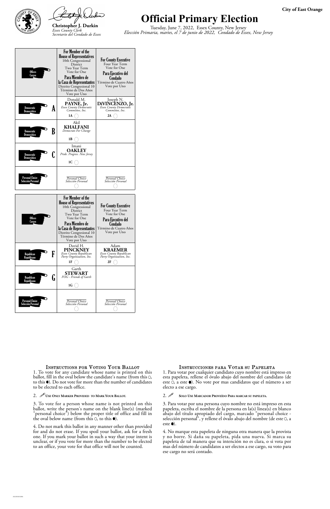



# **Official Primary Election**

Tuesday, June 7, 2022, Essex County, New Jersey *Elección Primaria, martes, el 7 de junio de 2022, Condado de Essex, New Jersey*

ballot, fill in the oval below the candidate's name (from this  $O$ , to this  $\bullet$ ). Do not vote for more than the number of candidates to be elected to each office.

### 2. *U* USE ONLY MARKER PROVIDED TO MARK YOUR BALLOT.

3. To vote for a person whose name is not printed on this ballot, write the person's name on the blank line(s) (marked "personal choice") below the proper title of office and fill in the oval below name (from this  $\circ$ ), to this  $\bullet$ ).

3. Para votar por una persona cuyo nombre no está impreso en esta papeleta, escriba el nombre de la persona en la(s) linea(s) en blanco abajo del título apropiado del cargo, marcado "personal choice selección personal", y rellene el óvalo abajo del nombre (de este 0, a este  $\bullet$ ).

4. Do not mark this ballot in any manner other than provided for and do not erase. If you spoil your ballot, ask for a fresh one. If you mark your ballot in such a way that your intent is unclear, or if you vote for more than the number to be elected to an office, your vote for that office will not be counted.

esta papeleta, rellene el óvalo abajo del nombre del candidato (de este 0, a este  $\bullet$ ). No vote por mas candidatos que el número a ser electo a ese cargo.

### 2. **SOLO USE MARCADOR PROVEÍDO PARA MARCAR SU PAPELETA.**

| <b>Offices</b><br>Cargos                             | For Member of the<br><b>House of Representatives</b><br>10th Congressional<br>District<br>Two Year Term<br>Vote for One<br>Para Miembro de<br>la Casa de Representantes<br>Distrito Congresional 10<br>Término de Dos Años<br>Vote por Uno | <b>For County Executive</b><br>Four Year Term<br>Vote for One<br>Para Ejecutivo del<br>Condado<br>Término de Cuatro Años<br>Vote por Uno |
|------------------------------------------------------|--------------------------------------------------------------------------------------------------------------------------------------------------------------------------------------------------------------------------------------------|------------------------------------------------------------------------------------------------------------------------------------------|
| Democratic<br>A<br>Democrático                       | Donald M.<br>PAYNE, Jr.<br>Essex County Democratic<br>Committee, Inc.<br>1A                                                                                                                                                                | Joseph N.<br>DiVINCENZO, Jr.<br>Essex County Democratic<br>Committee, Inc.<br>2A                                                         |
| B<br><b>Democratic</b><br>Democrático                | Akil<br><b>KHALFANI</b><br>Democrats For Change<br>1В                                                                                                                                                                                      |                                                                                                                                          |
| Democratic<br>Democrático                            | Imani<br><b>OAKLEY</b><br>Pride. Progress. New Jersey<br>1C                                                                                                                                                                                |                                                                                                                                          |
| <b>Personal Choice</b><br>Selección Personal         | Personal Choice<br>Selección Personal                                                                                                                                                                                                      | Personal Choice<br>Selección Personal                                                                                                    |
|                                                      |                                                                                                                                                                                                                                            |                                                                                                                                          |
| <b>Offices</b><br>Cargos                             | For Member of the<br><b>House of Representatives</b><br>10th Congressional<br>District<br>Two Year Term<br>Vote for One<br>Para Miembro de<br>la Casa de Representantes<br>Distrito Congresional 10<br>Término de Dos Años<br>Vote por Uno | <b>For County Executive</b><br>Four Year Term<br>Vote for One<br>Para Ejecutivo del<br>Condado<br>Término de Cuatro Años<br>Vote por Uno |
| F<br>Republican<br>Republicano                       | David H.<br><b>PINCKNEY</b><br>Essex County Republican<br>Party Organization, Inc.<br>1F                                                                                                                                                   | Adam<br><b>KRAEMER</b><br>Essex County Republican<br>Party Organization, Inc.<br>2F                                                      |
| Republican<br>$\overline{\mathbf{u}}$<br>Republicano | Garth<br><b>STEWART</b><br>FOG - Friends of Garth<br>$1G$ (                                                                                                                                                                                |                                                                                                                                          |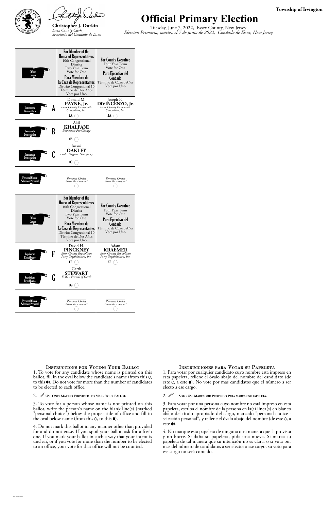



### **Official Primary Election**

Tuesday, June 7, 2022, Essex County, New Jersey *Elección Primaria, martes, el 7 de junio de 2022, Condado de Essex, New Jersey*

### **Township of Irvington**

ballot, fill in the oval below the candidate's name (from this  $O$ , to this  $\bullet$ ). Do not vote for more than the number of candidates to be elected to each office.

### 2. *U* USE ONLY MARKER PROVIDED TO MARK YOUR BALLOT.

3. To vote for a person whose name is not printed on this ballot, write the person's name on the blank line(s) (marked "personal choice") below the proper title of office and fill in the oval below name (from this  $\circ$ ), to this  $\bullet$ ).

3. Para votar por una persona cuyo nombre no está impreso en esta papeleta, escriba el nombre de la persona en la(s) linea(s) en blanco abajo del título apropiado del cargo, marcado "personal choice selección personal", y rellene el óvalo abajo del nombre (de este 0, a este  $\bullet$ ).

4. Do not mark this ballot in any manner other than provided for and do not erase. If you spoil your ballot, ask for a fresh one. If you mark your ballot in such a way that your intent is unclear, or if you vote for more than the number to be elected to an office, your vote for that office will not be counted.

esta papeleta, rellene el óvalo abajo del nombre del candidato (de este 0, a este  $\bullet$ ). No vote por mas candidatos que el número a ser electo a ese cargo.

### 2. **SOLO USE MARCADOR PROVEÍDO PARA MARCAR SU PAPELETA.**

| <b>Offices</b><br>Cargos              | For Member of the<br><b>House of Representatives</b><br>10th Congressional<br>District<br>Two Year Term<br>Vote for One<br>Para Miembro de<br>la Casa de Representantes<br>Distrito Congresional 10<br>Término de Dos Años<br>Vote por Uno | <b>For County Executive</b><br>Four Year Term<br>Vote for One<br>Para Ejecutivo del<br>Condado<br>Término de Cuatro Años<br>Vote por Uno |
|---------------------------------------|--------------------------------------------------------------------------------------------------------------------------------------------------------------------------------------------------------------------------------------------|------------------------------------------------------------------------------------------------------------------------------------------|
| Democratic<br>A<br>Democrático        | Donald M.<br>PAYNE, Jr.<br>Essex County Democratic<br>Committee, Inc.<br>1A                                                                                                                                                                | Joseph N.<br>DIVINCENZO, Jr.<br>Essex County Democratic<br>Committee, Inc.<br>2A                                                         |
| B<br>Democratic<br>Democrático        | Akil<br><b>KHALFANI</b><br>Democrats For Change<br>1 B                                                                                                                                                                                     |                                                                                                                                          |
| <b>Democratic</b><br>Democrático      | Imani<br><b>OAKLEY</b><br>Pride. Progress. New Jersey<br>1C                                                                                                                                                                                |                                                                                                                                          |
| Personal Choice<br>Selección Personal | Personal Choice<br>Selección Personal                                                                                                                                                                                                      | Personal Choice<br>Selección Personal                                                                                                    |
|                                       |                                                                                                                                                                                                                                            |                                                                                                                                          |
| <b>Offices</b><br>Cargos              | For Member of the<br><b>House of Representatives</b><br>10th Congressional<br>District<br>Two Year Term<br>Vote for One<br>Para Miembro de<br>la Casa de Representantes<br>Distrito Congresional 10<br>Término de Dos Años                 | <b>For County Executive</b><br>Four Year Term<br>Vote for One<br>Para Ejecutivo del<br>Condado<br>Término de Cuatro Años<br>Vote por Uno |
| F<br>Republican<br>Republicano        | Vote por Uno<br>David H.<br><b>PINCKNEY</b><br>Essex County Republican<br>Party Organization, Inc.<br>1F                                                                                                                                   | Adam<br><b>KRAEMER</b><br>Essex County Republican<br>Party Organization, Inc.<br>2F                                                      |
| Republican<br>lı<br>Republicano       | Garth<br><b>STEWART</b><br>FOG - Friends of Garth<br>1G                                                                                                                                                                                    |                                                                                                                                          |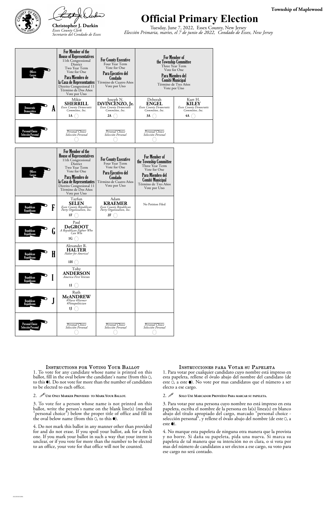



# **Official Primary Election**

Tuesday, June 7, 2022, Essex County, New Jersey *Elección Primaria, martes, el 7 de junio de 2022, Condado de Essex, New Jersey*

ballot, fill in the oval below the candidate's name (from this  $O$ , to this  $\bullet$ ). Do not vote for more than the number of candidates to be elected to each office.

### 2. *U* USE ONLY MARKER PROVIDED TO MARK YOUR BALLOT.

3. To vote for a person whose name is not printed on this ballot, write the person's name on the blank line(s) (marked "personal choice") below the proper title of office and fill in the oval below name (from this  $\circ$ ), to this  $\bullet$ ).

3. Para votar por una persona cuyo nombre no está impreso en esta papeleta, escriba el nombre de la persona en la(s) linea(s) en blanco abajo del título apropiado del cargo, marcado "personal choice selección personal", y rellene el óvalo abajo del nombre (de este 0, a este  $\bullet$ ).

4. Do not mark this ballot in any manner other than provided for and do not erase. If you spoil your ballot, ask for a fresh one. If you mark your ballot in such a way that your intent is unclear, or if you vote for more than the number to be elected to an office, your vote for that office will not be counted.

esta papeleta, rellene el óvalo abajo del nombre del candidato (de este 0, a este  $\bullet$ ). No vote por mas candidatos que el número a ser electo a ese cargo.

### 2. **SOLO USE MARCADOR PROVEÍDO PARA MARCAR SU PAPELETA.**

| <b>Offices</b><br>Cargos                            | For Member of the<br><b>House of Representatives</b><br>11th Congressional<br>District<br>Two Year Term<br>Vote for One<br>Para Miembro de<br>la Casa de Representantes<br>Distrito Congresional 11<br>Término de Dos Años<br>Vote por Uno        | <b>For County Executive</b><br>Four Year Term<br>Vote for One<br>Para Ejecutivo del<br>Condado<br>Término de Cuatro Años<br>Vote por Uno | Para Miembro del                                                                                                                                                         | <b>For Member of</b><br>the Township Committee<br>Three Year Term<br>Vote for One<br><b>Comité Municipal</b><br>Término de Tres Años<br>Vote por Uno |
|-----------------------------------------------------|---------------------------------------------------------------------------------------------------------------------------------------------------------------------------------------------------------------------------------------------------|------------------------------------------------------------------------------------------------------------------------------------------|--------------------------------------------------------------------------------------------------------------------------------------------------------------------------|------------------------------------------------------------------------------------------------------------------------------------------------------|
| A<br>Democratic<br>Democrático                      | Mikie<br><b>SHERRILL</b><br>Essex County Democratic<br>Committee, Inc.<br>1A                                                                                                                                                                      | Joseph N.<br>DiVINCENZO, Jr.<br>Committee, Inc.<br>2A                                                                                    | Deborah<br><b>ENGEL</b><br>Essex County Democratic<br>Committee, Inc.<br>3A                                                                                              | Kurt H.<br><b>KILEY</b><br>Essex County Democratic<br>Committee, Inc.<br>4A                                                                          |
| <b>Personal Choice</b><br>Selección Personal        | Personal Choice<br>Selección Personal                                                                                                                                                                                                             | Personal Choice<br>Selección Personal                                                                                                    | Personal Choice<br>Selección Personal                                                                                                                                    |                                                                                                                                                      |
| <b>Offices</b><br>Cargos                            | For Member of the<br><b>House of Representatives</b><br>11th Congressional<br><b>District</b><br>Two Year Term<br>Vote for One<br>Para Miembro de<br>la Casa de Representantes<br>Distrito Congresional 11<br>Término de Dos Años<br>Vote por Uno | <b>For County Executive</b><br>Four Year Term<br>Vote for One<br>Para Ejecutivo del<br>Condado<br>Término de Cuatro Años<br>Vote por Uno | <b>For Member of</b><br>the Township Committee<br>Three Year Term<br>Vote for One<br>Para Miembro del<br><b>Comité Municipal</b><br>Término de Tres Años<br>Vote por Uno |                                                                                                                                                      |
| F<br>Republican<br>Republicano                      | Tayfun<br><b>SELEN</b><br>Essex County Republican<br>Party Organization, Inc.<br>1F                                                                                                                                                               | Adam<br><b>KRAEMER</b><br>Essex County Republican<br>Party Organization, Inc.<br>2F                                                      | No Petition Filed                                                                                                                                                        |                                                                                                                                                      |
| <b>Republican</b><br>U<br>Republicano               | Paul<br><b>DeGROOT</b><br>A Republican Fighter Who<br>Can Win<br>1G                                                                                                                                                                               |                                                                                                                                          |                                                                                                                                                                          |                                                                                                                                                      |
| H<br>Republican<br>Republicano                      | Alexander R.<br><b>HALTER</b><br>Halter for America!<br>1H                                                                                                                                                                                        |                                                                                                                                          |                                                                                                                                                                          |                                                                                                                                                      |
| Republican<br>Republicano                           | Toby<br><b>ANDERSON</b><br>America First Veteran<br>1 <sub>I</sub>                                                                                                                                                                                |                                                                                                                                          |                                                                                                                                                                          |                                                                                                                                                      |
| Republican<br>J<br><b>Republicano</b>               | Ruth<br><b>McANDREW</b><br>#Nurse #Farmer<br>#Notapolitician<br>1 J                                                                                                                                                                               |                                                                                                                                          |                                                                                                                                                                          |                                                                                                                                                      |
| <b>Personal Choice</b><br><b>Selección Personal</b> | Personal Choice<br>Selección Personal                                                                                                                                                                                                             | Personal Choice<br>Selección Personal                                                                                                    | Personal Choice<br>Selección Personal                                                                                                                                    |                                                                                                                                                      |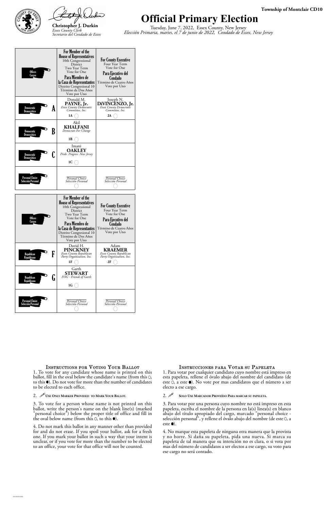



### **Official Primary Election**

Tuesday, June 7, 2022, Essex County, New Jersey *Elección Primaria, martes, el 7 de junio de 2022, Condado de Essex, New Jersey*

### **Township of Montclair CD10**

ballot, fill in the oval below the candidate's name (from this  $O$ , to this  $\bullet$ ). Do not vote for more than the number of candidates to be elected to each office.

### 2. *U* USE ONLY MARKER PROVIDED TO MARK YOUR BALLOT.

3. To vote for a person whose name is not printed on this ballot, write the person's name on the blank line(s) (marked "personal choice") below the proper title of office and fill in the oval below name (from this  $\circ$ ), to this  $\bullet$ ).

3. Para votar por una persona cuyo nombre no está impreso en esta papeleta, escriba el nombre de la persona en la(s) linea(s) en blanco abajo del título apropiado del cargo, marcado "personal choice selección personal", y rellene el óvalo abajo del nombre (de este 0, a este  $\bullet$ ).

4. Do not mark this ballot in any manner other than provided for and do not erase. If you spoil your ballot, ask for a fresh one. If you mark your ballot in such a way that your intent is unclear, or if you vote for more than the number to be elected to an office, your vote for that office will not be counted.

esta papeleta, rellene el óvalo abajo del nombre del candidato (de este 0, a este  $\bullet$ ). No vote por mas candidatos que el número a ser electo a ese cargo.

### 2. **SOLO USE MARCADOR PROVEÍDO PARA MARCAR SU PAPELETA.**

| <b>Offices</b><br>Cargos              | For Member of the<br><b>House of Representatives</b><br>10th Congressional<br>District<br>Two Year Term<br>Vote for One<br>Para Miembro de<br>la Casa de Representantes<br>Distrito Congresional 10<br>Término de Dos Años<br>Vote por Uno | <b>For County Executive</b><br>Four Year Term<br>Vote for One<br>Para Ejecutivo del<br>Condado<br>Término de Cuatro Años<br>Vote por Uno |
|---------------------------------------|--------------------------------------------------------------------------------------------------------------------------------------------------------------------------------------------------------------------------------------------|------------------------------------------------------------------------------------------------------------------------------------------|
| Democratic<br>A<br>Democrático        | Donald M.<br>PAYNE, Jr.<br>Essex County Democratic<br>Committee, Inc.<br>1A                                                                                                                                                                | Joseph N.<br>DIVINCENZO, Jr.<br>Essex County Democratic<br>Committee, Inc.<br>2A                                                         |
| B<br>Democratic<br>Democrático        | Akil<br><b>KHALFANI</b><br>Democrats For Change<br>1 B                                                                                                                                                                                     |                                                                                                                                          |
| <b>Democratic</b><br>Democrático      | Imani<br><b>OAKLEY</b><br>Pride. Progress. New Jersey<br>1C                                                                                                                                                                                |                                                                                                                                          |
| Personal Choice<br>Selección Personal | Personal Choice<br>Selección Personal                                                                                                                                                                                                      | Personal Choice<br>Selección Personal                                                                                                    |
|                                       |                                                                                                                                                                                                                                            |                                                                                                                                          |
| <b>Offices</b><br>Cargos              | For Member of the<br><b>House of Representatives</b><br>10th Congressional<br>District<br>Two Year Term<br>Vote for One<br>Para Miembro de<br>la Casa de Representantes<br>Distrito Congresional 10<br>Término de Dos Años                 | <b>For County Executive</b><br>Four Year Term<br>Vote for One<br>Para Ejecutivo del<br>Condado<br>Término de Cuatro Años<br>Vote por Uno |
| F<br>Republican<br>Republicano        | Vote por Uno<br>David H.<br><b>PINCKNEY</b><br>Essex County Republican<br>Party Organization, Inc.<br>1F                                                                                                                                   | Adam<br><b>KRAEMER</b><br>Essex County Republican<br>Party Organization, Inc.<br>2F                                                      |
| Republican<br>lı<br>Republicano       | Garth<br><b>STEWART</b><br>FOG - Friends of Garth<br>1G                                                                                                                                                                                    |                                                                                                                                          |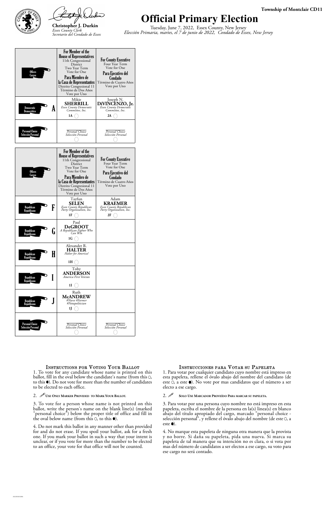



## **Official Primary Election**

Tuesday, June 7, 2022, Essex County, New Jersey *Elección Primaria, martes, el 7 de junio de 2022, Condado de Essex, New Jersey*

### **Township of Montclair CD11**

ballot, fill in the oval below the candidate's name (from this  $O$ , to this  $\bullet$ ). Do not vote for more than the number of candidates to be elected to each office.

### 2. *U* USE ONLY MARKER PROVIDED TO MARK YOUR BALLOT.

3. To vote for a person whose name is not printed on this ballot, write the person's name on the blank line(s) (marked "personal choice") below the proper title of office and fill in the oval below name (from this  $\circ$ ), to this  $\bullet$ ).

3. Para votar por una persona cuyo nombre no está impreso en esta papeleta, escriba el nombre de la persona en la(s) linea(s) en blanco abajo del título apropiado del cargo, marcado "personal choice selección personal", y rellene el óvalo abajo del nombre (de este 0, a este  $\bullet$ ).

4. Do not mark this ballot in any manner other than provided for and do not erase. If you spoil your ballot, ask for a fresh one. If you mark your ballot in such a way that your intent is unclear, or if you vote for more than the number to be elected to an office, your vote for that office will not be counted.

esta papeleta, rellene el óvalo abajo del nombre del candidato (de este 0, a este  $\bullet$ ). No vote por mas candidatos que el número a ser electo a ese cargo.

### 2. **SOLO USE MARCADOR PROVEÍDO PARA MARCAR SU PAPELETA.**

| <b>Offices</b><br><b>Cargos</b>              | For Member of the<br><b>House of Representatives</b><br>11th Congressional<br><b>District</b><br>Two Year Term<br>Vote for One<br>Para Miembro de<br>la Casa de Representantes<br>Distrito Congresional 11<br>Término de Dos Años<br>Vote por Uno | <b>For County Executive</b><br>Four Year Term<br>Vote for One<br>Para Ejecutivo del<br>Condado<br>Término de Cuatro Años<br>Vote por Uno |
|----------------------------------------------|---------------------------------------------------------------------------------------------------------------------------------------------------------------------------------------------------------------------------------------------------|------------------------------------------------------------------------------------------------------------------------------------------|
| Democratic<br>A<br>Democrático               | Mikie<br>SHERRILL<br>Essex County Democratic<br>Committee, Inc.<br>1A                                                                                                                                                                             | Joseph N.<br>DIVINCENZO, Jr.<br>Essex County Democratic<br>Committee, Inc.<br>2A                                                         |
| Personal Choice<br>Selección Personal        | Personal Choice<br>Selección Personal                                                                                                                                                                                                             | Personal Choice<br>Selección Personal                                                                                                    |
| <b>Offices</b><br>Cargos                     | For Member of the<br><b>House of Representatives</b><br>11th Congressional<br>District<br>Two Year Term<br>Vote for One<br>Para Miembro de<br>la Casa de Representantes<br>Distrito Congresional 11<br>Término de Dos Años<br>Vote por Uno        | <b>For County Executive</b><br>Four Year Term<br>Vote for One<br>Para Ejecutivo del<br>Condado<br>Término de Cuatro Años<br>Vote por Uno |
| F<br>Republican<br>Republicano               | Tayfun<br>SELEN<br>Essex County Republican<br>Party Organization, Inc.<br>1F                                                                                                                                                                      | Adam<br><b>KRAEMER</b><br>Essex County Republican<br>Party Organization, Inc.<br>2F                                                      |
| Republican<br>l٦<br>Republicano              | Paul<br><b>DeGROOT</b><br>A Republican Fighter Who<br>Can Win<br>1G                                                                                                                                                                               |                                                                                                                                          |
| H<br>Republican<br>Republicano               | Alexander R.<br><b>HALTER</b><br>Halter for America!<br>1H                                                                                                                                                                                        |                                                                                                                                          |
| Republican<br>Republicano                    | Toby<br><b>ANDERSON</b><br>America First Veteran<br>11                                                                                                                                                                                            |                                                                                                                                          |
| Republican<br>Republicano                    | Ruth<br><b>McANDREW</b><br>#Nurse #Farmer<br>#Notapolitician<br>IJ                                                                                                                                                                                |                                                                                                                                          |
| <b>Personal Choice</b><br>Selección Personal | Personal Choice<br>Selección Personal                                                                                                                                                                                                             | Personal Choice<br>Selección Personal                                                                                                    |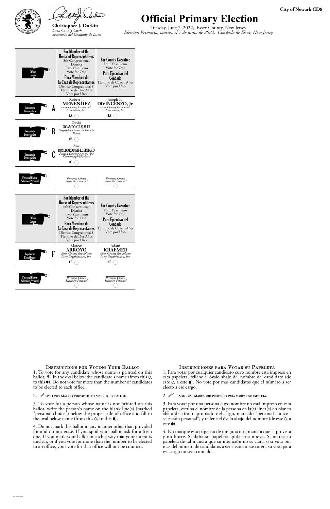



# **Official Primary Election**

Tuesday, June 7, 2022, Essex County, New Jersey *Elección Primaria, martes, el 7 de junio de 2022, Condado de Essex, New Jersey*

ballot, fill in the oval below the candidate's name (from this  $O$ , to this  $\bullet$ ). Do not vote for more than the number of candidates to be elected to each office.

### 2. *U* USE ONLY MARKER PROVIDED TO MARK YOUR BALLOT.

3. To vote for a person whose name is not printed on this ballot, write the person's name on the blank line(s) (marked "personal choice") below the proper title of office and fill in the oval below name (from this  $\circ$ , to this  $\bullet$ ).

3. Para votar por una persona cuyo nombre no está impreso en esta papeleta, escriba el nombre de la persona en la(s) linea(s) en blanco abajo del título apropiado del cargo, marcado "personal choice selección personal", y rellene el óvalo abajo del nombre (de este 0, a este  $\bullet$ ).

4. Do not mark this ballot in any manner other than provided for and do not erase. If you spoil your ballot, ask for a fresh one. If you mark your ballot in such a way that your intent is unclear, or if you vote for more than the number to be elected to an office, your vote for that office will not be counted.

esta papeleta, rellene el óvalo abajo del nombre del candidato (de este 0, a este  $\bullet$ ). No vote por mas candidatos que el número a ser electo a ese cargo.

### 2. **SOLO USE MARCADOR PROVEÍDO PARA MARCAR SU PAPELETA.**

| <b>Offices</b><br>Cargos                     | For Member of the<br><b>House of Representatives</b><br>8th Congressional<br>District<br>Two Year Term<br>Vote for One<br>Para Miembro de<br>la Casa de Representantes<br>Distrito Congresional 8<br>Término de Dos Años<br>Vote por Uno        | <b>For County Executive</b><br>Four Year Term<br>Vote for One<br>Para Ejecutivo del<br>Condado<br>Término de Cuatro Años<br>Vote por Uno |
|----------------------------------------------|-------------------------------------------------------------------------------------------------------------------------------------------------------------------------------------------------------------------------------------------------|------------------------------------------------------------------------------------------------------------------------------------------|
| Democratic<br>A<br>Democrático               | Robert J.<br><b>MENENDEZ</b><br>Essex County Democratic<br>Committee, Inc.<br>1A                                                                                                                                                                | Joseph N.<br>DiVINCENZO, Jr.<br>Essex County Democratic<br>Committee, Inc.<br>2A                                                         |
| B<br>Democratic<br>Democrático               | David<br><b>OCAMPO GRAJALES</b><br>Progressive Democrat For The<br>People<br>1 B                                                                                                                                                                |                                                                                                                                          |
| Democratic<br>Democrático                    | Ane<br>ROSEBOROUGH-EBERHARD<br>Passion Driving Action! Ane<br>Roseborough-Eberhard<br>1C                                                                                                                                                        |                                                                                                                                          |
| <b>Personal Choice</b><br>Selección Personal | Personal Choice<br>Selección Personal                                                                                                                                                                                                           | Personal Choice<br>Selección Personal                                                                                                    |
| <b>Offices</b><br>Cargos                     | For Member of the<br><b>House of Representatives</b><br>8th Congressional<br><b>District</b><br>Two Year Term<br>Vote for One<br>Para Miembro de<br>la Casa de Representantes<br>Distrito Congresional 8<br>Término de Dos Años<br>Vote por Uno | <b>For County Executive</b><br>Four Year Term<br>Vote for One<br>Para Ejecutivo del<br>Condado<br>Término de Cuatro Años<br>Vote por Uno |
| F<br>Republican<br>Republicano               | Marcos<br><b>ARROYO</b><br>Essex County Republican<br>Party Organization, Inc.<br>1F                                                                                                                                                            | Adam<br><b>KRAEMER</b><br>Essex County Republican<br>Party Organization, Inc.<br>2F                                                      |
| <b>Personal Choice</b><br>Selección Personal | Personal Choice<br>Selección Personal                                                                                                                                                                                                           | Personal Choice<br>Selección Personal                                                                                                    |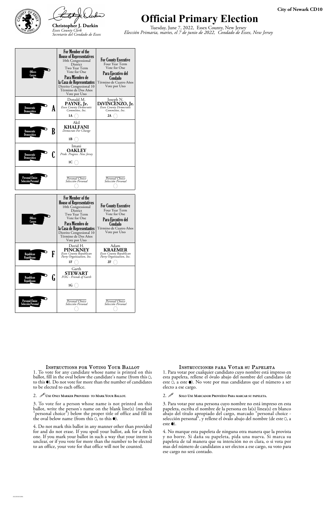



# **Official Primary Electio**

Tuesday, June 7, 2022, Essex County, New Jersey *Elección Primaria, martes, el 7 de junio de 2022, Condado de Essex, New Jersey*

|   | <b>City of Newark CD10</b> |
|---|----------------------------|
| n |                            |

3. To vote for a person whose name is not printed on this ballot, write the person's name on the blank line(s) (marked "personal choice") below the proper title of office and fill in the oval below name (from this  $\circ$ ), to this  $\bullet$ ).

Instructions for Voting Your Ballot 1. To vote for any candidate whose name is printed on this ballot, fill in the oval below the candidate's name (from this 0, to this  $\bullet$ ). Do not vote for more than the number of candidates to be elected to each office.

> 3. Para votar por una persona cuyo nombre no está impreso en esta papeleta, escriba el nombre de la persona en la(s) linea(s) en blanco abajo del título apropiado del cargo, marcado "personal choice selección personal", y rellene el óvalo abajo del nombre (de este 0, a este  $\bullet$ ).

4. Do not mark this ballot in any manner other than provided for and do not erase. If you spoil your ballot, ask for a fresh one. If you mark your ballot in such a way that your intent is unclear, or if you vote for more than the number to be elected to an office, your vote for that office will not be counted.

### 2. *U* USE ONLY MARKER PROVIDED TO MARK YOUR BALLOT.

esta papeleta, rellene el óvalo abajo del nombre del candidato (de este 0, a este  $\bullet$ ). No vote por mas candidatos que el número a ser electo a ese cargo.

### 2. **SOLO USE MARCADOR PROVEÍDO PARA MARCAR SU PAPELETA.**

| <b>Offices</b><br>Cargos              | For Member of the<br><b>House of Representatives</b><br>10th Congressional<br>District<br>Two Year Term<br>Vote for One<br>Para Miembro de<br>la Casa de Representantes<br>Distrito Congresional 10<br>Término de Dos Años<br>Vote por Uno | <b>For County Executive</b><br>Four Year Term<br>Vote for One<br>Para Ejecutivo del<br>Condado<br>Término de Cuatro Años<br>Vote por Uno |
|---------------------------------------|--------------------------------------------------------------------------------------------------------------------------------------------------------------------------------------------------------------------------------------------|------------------------------------------------------------------------------------------------------------------------------------------|
| A<br>Democratic<br>Democrático        | Donald M.<br>PAYNE, Jr.<br>Essex County Democratic<br>Committee, Inc.<br>1A                                                                                                                                                                | Joseph N.<br>DiVINCENZO, Jr.<br>Essex County Democratic<br>Committee, Inc.<br>2A                                                         |
| B<br>Democratic<br>Democrático        | Akil<br><b>KHALFANI</b><br>Democrats For Change<br>1В                                                                                                                                                                                      |                                                                                                                                          |
| Democratic<br>Democrático             | Imani<br><b>OAKLEY</b><br>Pride. Progress. New Jersey<br>1C                                                                                                                                                                                |                                                                                                                                          |
| Personal Choice<br>Selección Personal | Personal Choice<br>Selección Personal                                                                                                                                                                                                      | Personal Choice<br>Selección Personal                                                                                                    |
|                                       |                                                                                                                                                                                                                                            |                                                                                                                                          |
| <b>Offices</b><br>Cargos              | For Member of the<br><b>House of Representatives</b><br>10th Congressional<br>District<br>Two Year Term<br>Vote for One<br>Para Miembro de<br>la Casa de Representantes<br>Distrito Congresional 10<br>Término de Dos Años<br>Vote por Uno | <b>For County Executive</b><br>Four Year Term<br>Vote for One<br>Para Ejecutivo del<br>Condado<br>Término de Cuatro Años<br>Vote por Uno |
| F<br><b>Republican</b><br>Republicano | David H.<br><b>PINCKNEY</b><br>Essex County Republican<br>Party Organization, Inc.<br>1F                                                                                                                                                   | Adam<br><b>KRAEMER</b><br>Essex County Republican<br>Party Organization, Inc.<br>2F                                                      |
| Republican<br>ե<br>Republicano        | Garth<br><b>STEWART</b><br>FOG - Friends of Garth<br>1G                                                                                                                                                                                    |                                                                                                                                          |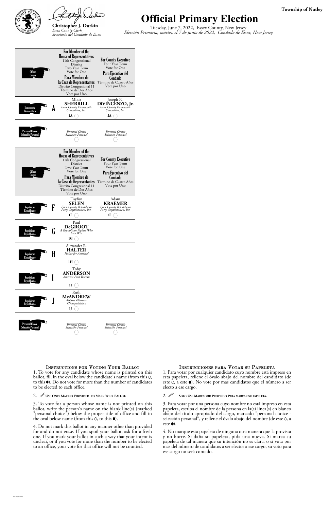



### **Official Primary Election**

Tuesday, June 7, 2022, Essex County, New Jersey *Elección Primaria, martes, el 7 de junio de 2022, Condado de Essex, New Jersey*

### **Township of Nutley**

3. To vote for a person whose name is not printed on this ballot, write the person's name on the blank line(s) (marked "personal choice") below the proper title of office and fill in the oval below name (from this  $\circ$ ), to this  $\bullet$ ).

Instructions for Voting Your Ballot 1. To vote for any candidate whose name is printed on this ballot, fill in the oval below the candidate's name (from this  $O$ , to this  $\bullet$ ). Do not vote for more than the number of candidates to be elected to each office.

> 3. Para votar por una persona cuyo nombre no está impreso en esta papeleta, escriba el nombre de la persona en la(s) linea(s) en blanco abajo del título apropiado del cargo, marcado "personal choice selección personal", y rellene el óvalo abajo del nombre (de este 0, a este  $\bullet$ ).

4. Do not mark this ballot in any manner other than provided for and do not erase. If you spoil your ballot, ask for a fresh one. If you mark your ballot in such a way that your intent is unclear, or if you vote for more than the number to be elected to an office, your vote for that office will not be counted.

### 2. *U* USE ONLY MARKER PROVIDED TO MARK YOUR BALLOT.

esta papeleta, rellene el óvalo abajo del nombre del candidato (de este 0, a este  $\bullet$ ). No vote por mas candidatos que el número a ser electo a ese cargo.

### 2. **SOLO USE MARCADOR PROVEÍDO PARA MARCAR SU PAPELETA.**

| <b>Offices</b><br>Cargos                     | For Member of the<br><b>House of Representatives</b><br>11th Congressional<br>District<br>Two Year Term<br>Vote for One<br>Para Miembro de<br>la Casa de Representantes<br>Distrito Congresional 11<br>Término de Dos Años<br>Vote por Uno | <b>For County Executive</b><br>Four Year Term<br>Vote for One<br>Para Ejecutivo del<br>Condado<br>Término de Cuatro Años<br>Vote por Uno |
|----------------------------------------------|--------------------------------------------------------------------------------------------------------------------------------------------------------------------------------------------------------------------------------------------|------------------------------------------------------------------------------------------------------------------------------------------|
| Democratic<br>A<br>Democrático               | Mikie<br><b>SHERRILL</b><br>Essex County Democratic<br>Committee, Inc.<br>1A                                                                                                                                                               | Joseph N.<br>DiVINCENZO, Jr.<br>Committee, Inc.<br>2A                                                                                    |
| <b>Personal Choice</b><br>Selección Personal | Personal Choice<br>Selección Personal                                                                                                                                                                                                      | Personal Choice<br>Selección Personal                                                                                                    |
| <b>Offices</b><br>Cargos                     | For Member of the<br><b>House of Representatives</b><br>11th Congressional<br>District<br>Two Year Term<br>Vote for One<br>Para Miembro de<br>la Casa de Representantes<br>Distrito Congresional 11<br>Término de Dos Años<br>Vote por Uno | <b>For County Executive</b><br>Four Year Term<br>Vote for One<br>Para Ejecutivo del<br>Condado<br>Término de Cuatro Años<br>Vote por Uno |
| F<br>Republican<br>Republicano               | Tayfun<br>SELEN<br>Essex County Republican<br>Party Organization, Inc.<br>1F                                                                                                                                                               | Adam<br><b>KRAEMER</b><br>Essex County Republican<br>Party Organization, Inc.<br>2F                                                      |
| <b>Republican</b><br>u<br>Republicano        | Paul<br><b>DeGROOT</b><br>A Republican Fighter Who<br>Can Win<br>1G                                                                                                                                                                        |                                                                                                                                          |
| H<br>Republican<br>Republicano               | Alexander R.<br><b>HALTER</b><br>Halter for America!<br>1H                                                                                                                                                                                 |                                                                                                                                          |
| Republican<br>Republicano                    | Toby<br><b>ANDERSON</b><br>America First Veteran<br>11                                                                                                                                                                                     |                                                                                                                                          |
| Republican<br>Republicano                    | Ruth<br><b>McANDREW</b><br>#Nurse #Farmer<br>#Notapolitician<br>IJ                                                                                                                                                                         |                                                                                                                                          |
| <b>Personal Choice</b><br>Selección Personal | Personal Choice<br>Selección Personal                                                                                                                                                                                                      | Personal Choice<br>Selección Personal                                                                                                    |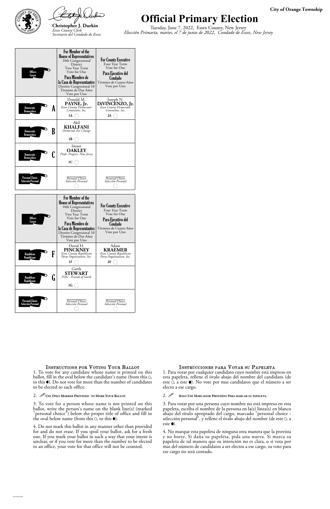



### **Official Primary Election**

Tuesday, June 7, 2022, Essex County, New Jersey *Elección Primaria, martes, el 7 de junio de 2022, Condado de Essex, New Jersey*

### **City of Orange Township**

ballot, fill in the oval below the candidate's name (from this  $O$ , to this  $\bullet$ ). Do not vote for more than the number of candidates to be elected to each office.

### 2. *U* USE ONLY MARKER PROVIDED TO MARK YOUR BALLOT.

3. To vote for a person whose name is not printed on this ballot, write the person's name on the blank line(s) (marked "personal choice") below the proper title of office and fill in the oval below name (from this  $\circ$ ), to this  $\bullet$ ).

3. Para votar por una persona cuyo nombre no está impreso en esta papeleta, escriba el nombre de la persona en la(s) linea(s) en blanco abajo del título apropiado del cargo, marcado "personal choice selección personal", y rellene el óvalo abajo del nombre (de este 0, a este  $\bullet$ ).

4. Do not mark this ballot in any manner other than provided for and do not erase. If you spoil your ballot, ask for a fresh one. If you mark your ballot in such a way that your intent is unclear, or if you vote for more than the number to be elected to an office, your vote for that office will not be counted.

esta papeleta, rellene el óvalo abajo del nombre del candidato (de este 0, a este  $\bullet$ ). No vote por mas candidatos que el número a ser electo a ese cargo.

### 2. **SOLO USE MARCADOR PROVEÍDO PARA MARCAR SU PAPELETA.**

| <b>Offices</b><br>Cargos              | For Member of the<br><b>House of Representatives</b><br>10th Congressional<br>District<br>Two Year Term<br>Vote for One<br>Para Miembro de<br>la Casa de Representantes<br>Distrito Congresional 10<br>Término de Dos Años<br>Vote por Uno | <b>For County Executive</b><br>Four Year Term<br>Vote for One<br>Para Ejecutivo del<br>Condado<br>Término de Cuatro Años<br>Vote por Uno |
|---------------------------------------|--------------------------------------------------------------------------------------------------------------------------------------------------------------------------------------------------------------------------------------------|------------------------------------------------------------------------------------------------------------------------------------------|
| Democratic<br>A<br>Democrático        | Donald M.<br>PAYNE, Jr.<br>Essex County Democratic<br>Committee, Inc.<br>1A                                                                                                                                                                | Joseph N.<br>DIVINCENZO, Jr.<br>Essex County Democratic<br>Committee, Inc.<br>2A                                                         |
| B<br>Democratic<br>Democrático        | Akil<br><b>KHALFANI</b><br>Democrats For Change<br>1 B                                                                                                                                                                                     |                                                                                                                                          |
| <b>Democratic</b><br>Democrático      | Imani<br><b>OAKLEY</b><br>Pride. Progress. New Jersey<br>1C                                                                                                                                                                                |                                                                                                                                          |
| Personal Choice<br>Selección Personal | Personal Choice<br>Selección Personal                                                                                                                                                                                                      | Personal Choice<br>Selección Personal                                                                                                    |
|                                       |                                                                                                                                                                                                                                            |                                                                                                                                          |
| <b>Offices</b><br>Cargos              | For Member of the<br><b>House of Representatives</b><br>10th Congressional<br>District<br>Two Year Term<br>Vote for One<br>Para Miembro de<br>la Casa de Representantes<br>Distrito Congresional 10<br>Término de Dos Años                 | <b>For County Executive</b><br>Four Year Term<br>Vote for One<br>Para Ejecutivo del<br>Condado<br>Término de Cuatro Años<br>Vote por Uno |
| F<br>Republican<br>Republicano        | Vote por Uno<br>David H.<br><b>PINCKNEY</b><br>Essex County Republican<br>Party Organization, Inc.<br>1F                                                                                                                                   | Adam<br><b>KRAEMER</b><br>Essex County Republican<br>Party Organization, Inc.<br>2F                                                      |
| Republican<br>և<br>Republicano        | Garth<br><b>STEWART</b><br>FOG - Friends of Garth<br>1G                                                                                                                                                                                    |                                                                                                                                          |